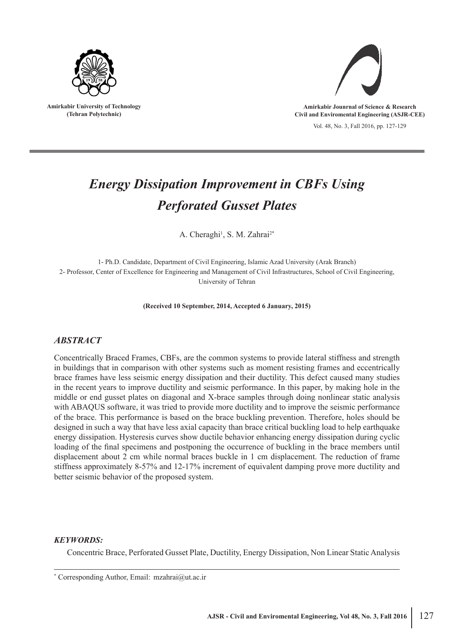

**Amirkabir University of Technology (Tehran Polytechnic)**



**Amirkabir Jounrnal of Science & Research Civil and Enviromental Engineering (ASJR-CEE)**

Vol. 48, No. 3, Fall 2016, pp. 127-129

# *Energy Dissipation Improvement in CBFs Using Perforated Gusset Plates*

A. Cheraghi<sup>1</sup>, S. M. Zahrai<sup>2\*</sup>

1- Ph.D. Candidate, Department of Civil Engineering, Islamic Azad University (Arak Branch) 2- Professor, Center of Excellence for Engineering and Management of Civil Infrastructures, School of Civil Engineering, University of Tehran

**(Received 10 September, 2014, Accepted 6 January, 2015)**

### *ABSTRACT*

Concentrically Braced Frames, CBFs, are the common systems to provide lateral stiffness and strength in buildings that in comparison with other systems such as moment resisting frames and eccentrically brace frames have less seismic energy dissipation and their ductility. This defect caused many studies in the recent years to improve ductility and seismic performance. In this paper, by making hole in the middle or end gusset plates on diagonal and X-brace samples through doing nonlinear static analysis with ABAQUS software, it was tried to provide more ductility and to improve the seismic performance of the brace. This performance is based on the brace buckling prevention. Therefore, holes should be designed in such a way that have less axial capacity than brace critical buckling load to help earthquake energy dissipation. Hysteresis curves show ductile behavior enhancing energy dissipation during cyclic loading of the final specimens and postponing the occurrence of buckling in the brace members until displacement about 2 cm while normal braces buckle in 1 cm displacement. The reduction of frame stiffness approximately 8-57% and 12-17% increment of equivalent damping prove more ductility and better seismic behavior of the proposed system.

#### *KEYWORDS:*

Concentric Brace, Perforated Gusset Plate, Ductility, Energy Dissipation, Non Linear Static Analysis

<sup>\*</sup> Corresponding Author, Email: mzahrai@ut.ac.ir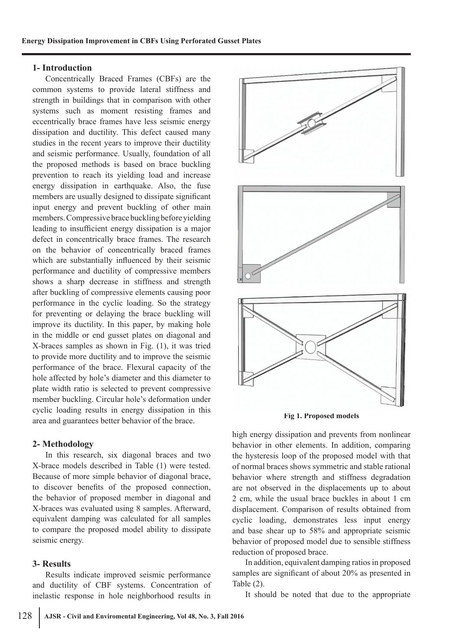## **1- Introduction**

Concentrically Braced Frames (CBFs) are the common systems to provide lateral stiffness and strength in buildings that in comparison with other systems such as moment resisting frames and eccentrically brace frames have less seismic energy dissipation and ductility. This defect caused many studies in the recent years to improve their ductility and seismic performance. Usually, foundation of all the proposed methods is based on brace buckling prevention to reach its yielding load and increase energy dissipation in earthquake. Also, the fuse members are usually designed to dissipate significant input energy and prevent buckling of other main members. Compressive brace buckling before yielding leading to insufficient energy dissipation is a major defect in concentrically brace frames. The research on the behavior of concentrically braced frames which are substantially influenced by their seismic performance and ductility of compressive members shows a sharp decrease in stiffness and strength after buckling of compressive elements causing poor performance in the cyclic loading. So the strategy for preventing or delaying the brace buckling will improve its ductility. In this paper, by making hole in the middle or end gusset plates on diagonal and X-braces samples as shown in Fig. (1), it was tried to provide more ductility and to improve the seismic performance of the brace. Flexural capacity of the hole affected by hole's diameter and this diameter to plate width ratio is selected to prevent compressive member buckling. Circular hole's deformation under cyclic loading results in energy dissipation in this area and guarantees better behavior of the brace.

# **2- Methodology**

In this research, six diagonal braces and two X-brace models described in Table (1) were tested. Because of more simple behavior of diagonal brace, to discover benefits of the proposed connection, the behavior of proposed member in diagonal and X-braces was evaluated using 8 samples. Afterward, equivalent damping was calculated for all samples to compare the proposed model ability to dissipate seismic energy.

# **3- Results**

Results indicate improved seismic performance and ductility of CBF systems. Concentration of inelastic response in hole neighborhood results in



**Fig 1. Proposed models**

high energy dissipation and prevents from nonlinear behavior in other elements. In addition, comparing the hysteresis loop of the proposed model with that of normal braces shows symmetric and stable rational behavior where strength and stiffness degradation are not observed in the displacements up to about 2 cm, while the usual brace buckles in about 1 cm displacement. Comparison of results obtained from cyclic loading, demonstrates less input energy and base shear up to 58% and appropriate seismic behavior of proposed model due to sensible stiffness reduction of proposed brace.

In addition, equivalent damping ratios in proposed samples are significant of about 20% as presented in Table (2).

It should be noted that due to the appropriate